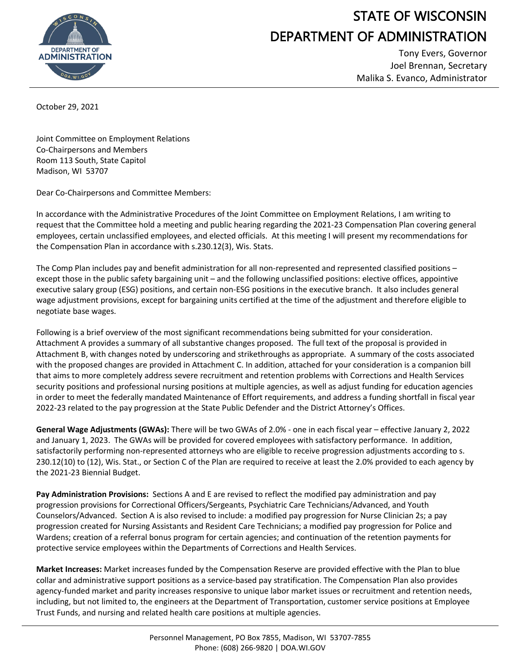

## STATE OF WISCONSIN DEPARTMENT OF ADMINISTRATION

Tony Evers, Governor Joel Brennan, Secretary Malika S. Evanco, Administrator

October 29, 2021

Joint Committee on Employment Relations Co-Chairpersons and Members Room 113 South, State Capitol Madison, WI 53707

Dear Co-Chairpersons and Committee Members:

In accordance with the Administrative Procedures of the Joint Committee on Employment Relations, I am writing to request that the Committee hold a meeting and public hearing regarding the 2021-23 Compensation Plan covering general employees, certain unclassified employees, and elected officials. At this meeting I will present my recommendations for the Compensation Plan in accordance with s.230.12(3), Wis. Stats.

The Comp Plan includes pay and benefit administration for all non-represented and represented classified positions – except those in the public safety bargaining unit – and the following unclassified positions: elective offices, appointive executive salary group (ESG) positions, and certain non-ESG positions in the executive branch. It also includes general wage adjustment provisions, except for bargaining units certified at the time of the adjustment and therefore eligible to negotiate base wages.

Following is a brief overview of the most significant recommendations being submitted for your consideration. Attachment A provides a summary of all substantive changes proposed. The full text of the proposal is provided in Attachment B, with changes noted by underscoring and strikethroughs as appropriate. A summary of the costs associated with the proposed changes are provided in Attachment C. In addition, attached for your consideration is a companion bill that aims to more completely address severe recruitment and retention problems with Corrections and Health Services security positions and professional nursing positions at multiple agencies, as well as adjust funding for education agencies in order to meet the federally mandated Maintenance of Effort requirements, and address a funding shortfall in fiscal year 2022-23 related to the pay progression at the State Public Defender and the District Attorney's Offices.

**General Wage Adjustments (GWAs):** There will be two GWAs of 2.0% - one in each fiscal year – effective January 2, 2022 and January 1, 2023. The GWAs will be provided for covered employees with satisfactory performance. In addition, satisfactorily performing non-represented attorneys who are eligible to receive progression adjustments according to s. 230.12(10) to (12), Wis. Stat., or Section C of the Plan are required to receive at least the 2.0% provided to each agency by the 2021-23 Biennial Budget.

**Pay Administration Provisions:** Sections A and E are revised to reflect the modified pay administration and pay progression provisions for Correctional Officers/Sergeants, Psychiatric Care Technicians/Advanced, and Youth Counselors/Advanced. Section A is also revised to include: a modified pay progression for Nurse Clinician 2s; a pay progression created for Nursing Assistants and Resident Care Technicians; a modified pay progression for Police and Wardens; creation of a referral bonus program for certain agencies; and continuation of the retention payments for protective service employees within the Departments of Corrections and Health Services.

**Market Increases:** Market increases funded by the Compensation Reserve are provided effective with the Plan to blue collar and administrative support positions as a service-based pay stratification. The Compensation Plan also provides agency-funded market and parity increases responsive to unique labor market issues or recruitment and retention needs, including, but not limited to, the engineers at the Department of Transportation, customer service positions at Employee Trust Funds, and nursing and related health care positions at multiple agencies.